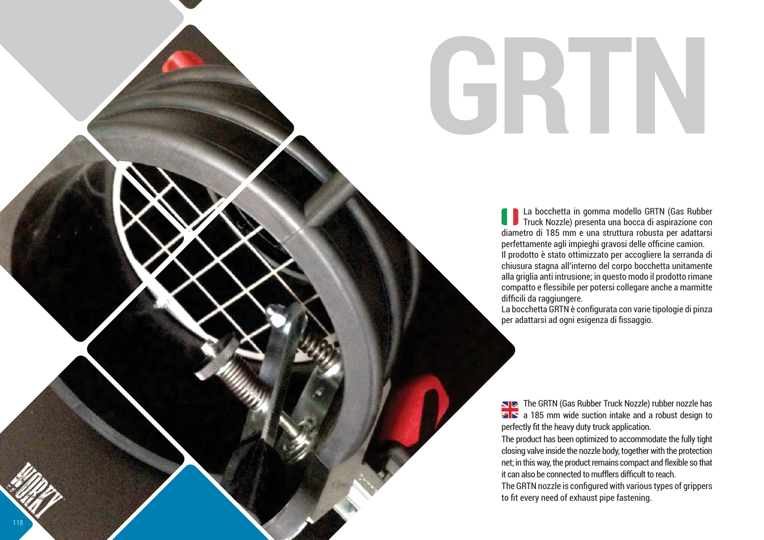# **GRTN**

La bocchetta in gomma modello GRTN (Gas Rubber Truck Nozzle) presenta una bocca di aspirazione con diametro di 185 mm e una struttura robusta per adattarsi perfettamente agli impieghi gravosi delle officine camion. Il prodotto è stato ottimizzato per accogliere la serranda di chiusura stagna all'interno del corpo bocchetta unitamente alla griglia anti intrusione; in questo modo il prodotto rimane compatto e flessibile per potersi collegare anche a marmitte difficili da raqqiunqere.

La bocchetta GRTN è configurata con varie tipologie di pinza per adattarsi ad ogni esigenza di fissaggio.

The GRTN (Gas Rubber Truck Nozzle) rubber nozzle has  $\overline{\mathbf{2}}$  a 185 mm wide suction intake and a robust design to perfectly fit the heavy duty truck application.

 The product has been optimized to accommodate the fully tight closing valve inside the nozzle body, together with the protection net; in this way, the product remains compact and flexible so that it can also be connected to mufflers difficult to reach.

The GRTN nozzle is configured with various types of grippers to fit every need of exhaust pipe fastening.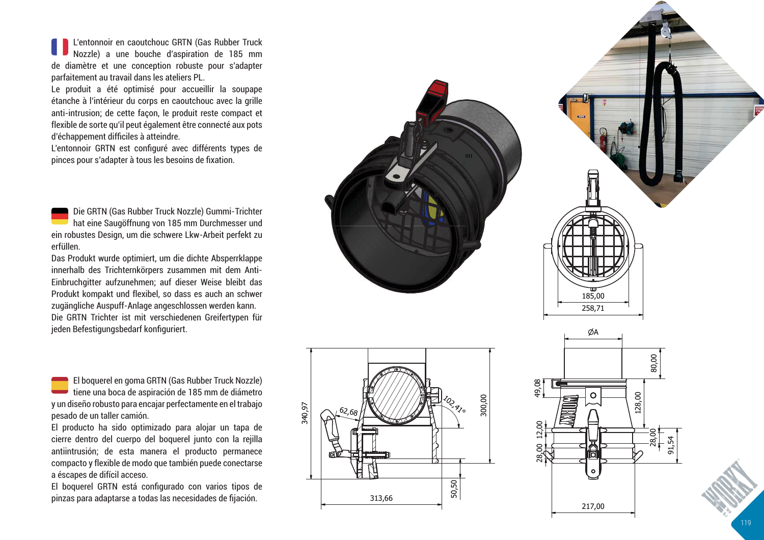L'entonnoir en caoutchouc GRTN (Gas Rubber Truck Nozzle) a une bouche d'aspiration de 185 mm de diamètre et une conception robuste pour s'adapter de diamètre et une conception robuste<br>parfaitement au travail dans les ateliers PL.

> Le produit a été optimisé pour accueillir la soupape étanche à l'intérieur du corps en caoutchouc avec la grille anti-intrusion; de cette façon, le produit reste compact et flexible de sorte qu'il peut également être connecté aux pots d'échappement difficiles à atteindre.

L'entonnoir GRTN est configuré avec différents types de pinces pour s'adapter à tous les besoins de fixation.

Die GRTN (Gas Rubber Truck Nozzle) Gummi-Trichter hat eine Saugöffnung von 185 mm Durchmesser und ein robustes Design, um die schwere Lkw-Arbeit perfekt zu erfüllen.

Das Produkt wurde optimiert, um die dichte Absperrklappe innerhalb des Trichternkörpers zusammen mit dem Anti-Einbruchgitter aufzunehmen; auf dieser Weise bleibt das Produkt kompakt und flexibel, so dass es auch an schwer zugängliche Auspuff-Anlage angeschlossen werden kann. Die GRTN Trichter ist mit verschiedenen Greifertypen für jeden Befestigungsbedarf konfiguriert.

El boquerel en goma GRTN (Gas Rubber Truck Nozzle) tiene una boca de aspiración de 185 mm de diámetro y un diseño robusto para encajar perfectamente en el trabajo y un aiseno ropusto para en<br>pesado de un taller camión.

 El producto ha sido optimizado para alojar un tapa de cierre dentro del cuerpo del boquerel junto con la rejilla antiintrusión; de esta manera el producto permanece compacto y flexible de modo que también puede conectarse a éscapes de difícil acceso.

El boquerel GRTN está configurado con varios tipos de pinzas para adaptarse a todas las necesidades de fijación.



vendite@worky-italy.comsales@worky-italy.com $\sim$   $\sim$   $\sim$ 

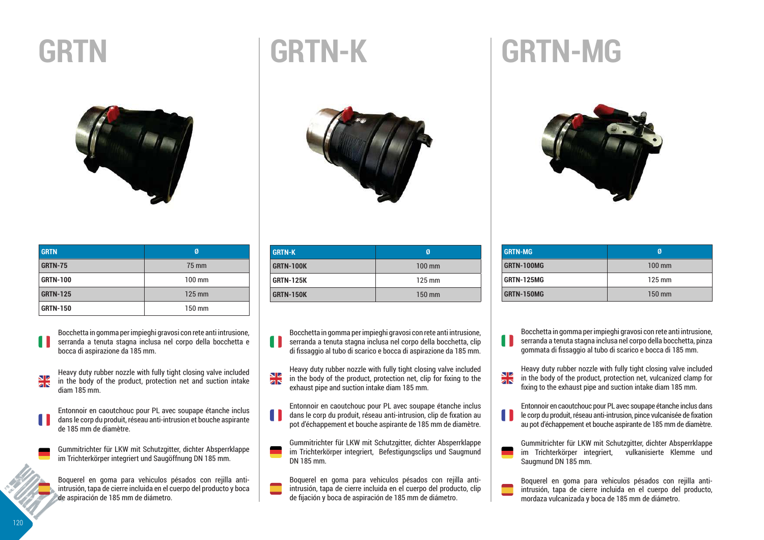# **GRTN**



| <b>GRTN</b>     | Ø      |
|-----------------|--------|
| <b>GRTN-75</b>  | 75 mm  |
| <b>GRTN-100</b> | 100 mm |
| <b>GRTN-125</b> | 125 mm |
| <b>GRTN-150</b> | 150 mm |

Bocchetta in gomma per impieghi gravosi con rete anti intrusione, serranda a tenuta stagna inclusa nel corpo della bocchetta e bocca di aspirazione da 185 mm.

- Heavy duty rubber nozzle with fully tight closing valve included in the body of the product, protection net and suction intake diam 185 mm.
- Entonnoir en caoutchouc pour PL avec soupape étanche inclus dans le corp du produit, réseau anti-intrusion et bouche aspirante de 185 mm de diamètre.
- Gummitrichter für LKW mit Schutzgitter, dichter Absperrklappe im Trichterkörper integriert und Saugöffnung DN 185 mm.

Boquerel en goma para vehiculos pésados con rejilla antiintrusión, tapa de cierre incluida en el cuerpo del producto y boca de aspiración de 185 mm de diámetro.



| <b>GRTN-K</b>    | Ø                |
|------------------|------------------|
| GRTN-100K        | $100 \text{ mm}$ |
| GRTN-125K        | $125 \text{ mm}$ |
| <b>GRTN-150K</b> | 150 mm           |

Bocchetta in gomma per impieghi gravosi con rete anti intrusione, Ш serranda a tenuta stagna inclusa nel corpo della bocchetta, clip di fissaggio al tubo di scarico e bocca di aspirazione da 185 mm.

Heavy duty rubber nozzle with fully tight closing valve included 있다.<br>기년 in the body of the product, protection net, clip for fixing to the exhaust pipe and suction intake diam 185 mm.

Entonnoir en caoutchouc pour PL avec soupape étanche inclus 11 dans le corp du produit, réseau anti-intrusion, clip de fixation au pot d'échappement et bouche aspirante de 185 mm de diamètre.

Gummitrichter für LKW mit Schutzgitter, dichter Absperrklappe im Trichterkörper integriert, Befestigungsclips und Saugmund DN 185 mm.

Boquerel en goma para vehiculos pésados con rejilla antiintrusión, tapa de cierre incluida en el cuerpo del producto, clip de fijación y boca de aspiración de 185 mm de diámetro.

#### **GRTN-K GRTN-MG**



| <b>GRTN-MG</b>    | Ø                |
|-------------------|------------------|
| <b>GRTN-100MG</b> | $100 \text{ mm}$ |
| GRTN-125MG        | $125 \text{ mm}$ |
| <b>GRTN-150MG</b> | 150 mm           |

Bocchetta in gomma per impieghi gravosi con rete anti intrusione, serranda a tenuta stagna inclusa nel corpo della bocchetta, pinza gommata di fissaggio al tubo di scarico e bocca di 185 mm.

Heavy duty rubber nozzle with fully tight closing valve included N<br>ak in the body of the product, protection net, vulcanized clamp for fixing to the exhaust pipe and suction intake diam 185 mm.

Entonnoir en caoutchouc pour PL avec soupape étanche inclus dans le corp du produit, réseau anti-intrusion, pince vulcanisée de fixation au pot d'échappement et bouche aspirante de 185 mm de diamètre.

- Gummitrichter für LKW mit Schutzgitter, dichter Absperrklappe im Trichterkörper integriert, vulkanisierte Klemme und Saugmund DN 185 mm.
- Boquerel en goma para vehiculos pésados con rejilla antiintrusión, tapa de cierre incluida en el cuerpo del producto, mordaza vulcanizada y boca de 185 mm de diámetro.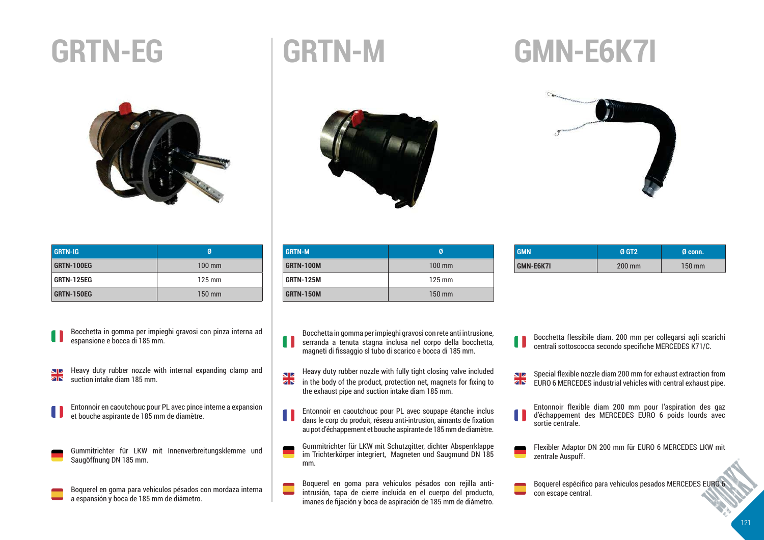### **GRTN-EG**



#### **GRTN-M**



# **GMN-E6K7I**



| <b>GRTN-IG</b>    | Ø                |
|-------------------|------------------|
| GRTN-100EG        | $100 \text{ mm}$ |
| <b>GRTN-125EG</b> | $125 \text{ mm}$ |
| GRTN-150EG        | 150 mm           |

|     | Ø                | <b>GRT</b> |
|-----|------------------|------------|
| 0EG | 100 mm           | <b>GRT</b> |
| 5EG | $125 \text{ mm}$ | <b>GRT</b> |
| 0EG | 150 mm           | <b>GRT</b> |

| Bocchetta in gomma per impieghi gravosi con pinza interna ad |  |
|--------------------------------------------------------------|--|
| espansione e bocca di 185 mm.                                |  |

- Heavy duty rubber nozzle with internal expanding clamp and  $\blacksquare$ ZN suction intake diam 185 mm.
- Entonnoir en caoutchouc pour PL avec pince interne a expansion et bouche aspirante de 185 mm de diamètre.
- Gummitrichter für LKW mit Innenverbreitungsklemme und Saugöffnung DN 185 mm.
- Boquerel en goma para vehiculos pésados con mordaza interna a espansión y boca de 185 mm de diámetro.

| <b>GRTN-M</b>    | Ø                |
|------------------|------------------|
| GRTN-100M        | $100 \text{ mm}$ |
| GRTN-125M        | $125 \text{ mm}$ |
| <b>GRTN-150M</b> | 150 mm           |

| <b>GMN</b>       | <b>ØGT2</b> | Ø conn.          |
|------------------|-------------|------------------|
| <b>GMN-E6K7I</b> | $200$ mm    | $150 \text{ mm}$ |

- Bocchetta in gomma per impieghi gravosi con rete anti intrusione, serranda a tenuta stagna inclusa nel corpo della bocchetta, magneti di fissaggio sl tubo di scarico e bocca di 185 mm.
- Heavy duty rubber nozzle with fully tight closing valve included SIZ ar in the body of the product, protection net, magnets for fixing to the exhaust pipe and suction intake diam 185 mm.
- Entonnoir en caoutchouc pour PL avec soupape étanche inclus dans le corp du produit, réseau anti-intrusion, aimants de fixation au pot d'échappement et bouche aspirante de 185 mm de diamètre.
- Gummitrichter für LKW mit Schutzgitter, dichter Absperrklappe im Trichterkörper integriert, Magneten und Saugmund DN 185 mm.
- Boquerel en goma para vehiculos pésados con rejilla antiintrusión, tapa de cierre incluida en el cuerpo del producto, imanes de fijación y boca de aspiración de 185 mm de diámetro.
- Bocchetta flessibile diam. 200 mm per collegarsi agli scarichi EGEDECUAL HIGGARDIE CHANNI EGGI HAND PER GENEGALIC.<br>Centrali sottoscocca secondo specifiche MERCEDES K71/C.
- Special flexible nozzle diam 200 mm for exhaust extraction from as EURO 6 MERCEDES industrial vehicles with central exhaust pipe.
- Entonnoir flexible diam 200 mm pour l'aspiration des gaz<br>d'échappement des MERCEDES EURO 6 poids lourds avec sortie centrale.
- Flexibler Adaptor DN 200 mm für EURO 6 MERCEDES LKW mit zentrale Auspuff.
- Boquerel espécifico para vehiculos pesados MERCEDES EURO 6 con escape central.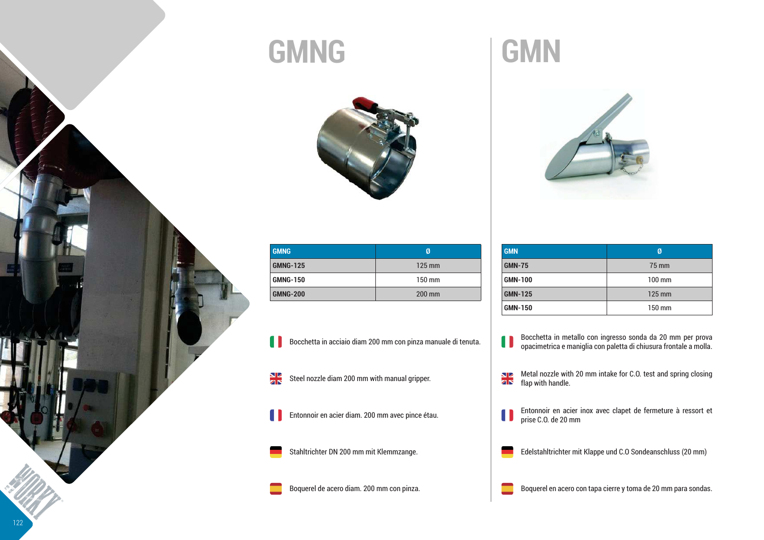# **GMNG**



| <b>GMNG</b>     | Ø                |
|-----------------|------------------|
| <b>GMNG-125</b> | $125 \text{ mm}$ |
| <b>GMNG-150</b> | 150 mm           |
| <b>GMNG-200</b> | 200 mm           |

- Bocchetta in acciaio diam 200 mm con pinza manuale di tenuta.
- ञ¦<br>वार Steel nozzle diam 200 mm with manual gripper.
- Entonnoir en acier diam. 200 mm avec pince étau.
- Stahltrichter DN 200 mm mit Klemmzange.
- Boquerel de acero diam. 200 mm con pinza.

# **GMN**

l



| <b>GMN</b>     | Ø                |
|----------------|------------------|
| <b>GMN-75</b>  | 75 mm            |
| <b>GMN-100</b> | $100 \text{ mm}$ |
| <b>GMN-125</b> | 125 mm           |
| <b>GMN-150</b> | 150 mm           |

- Bocchetta in metallo con ingresso sonda da 20 mm per prova<br>opacimetrica e maniglia con paletta di chiusura frontale a molla.  $\mathbf \Pi$
- <u>siz</u> Metal nozzle with 20 mm intake for C.O. test and spring closing flap with handle.ZŊ
- Entonnoir en acier inox avec clapet de fermeture à ressort et<br>prise C.O. de 20 mm
- Edelstahltrichter mit Klappe und C.O Sondeanschluss (20 mm)

Boquerel en acero con tapa cierre y toma de 20 mm para sondas.